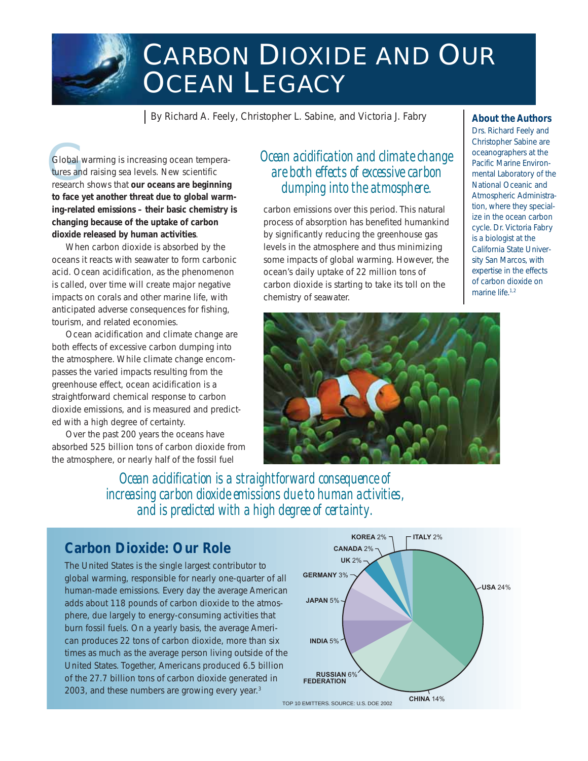

# CARBON DIOXIDE AND OUR **OCEAN LEGACY**

By Richard A. Feely, Christopher L. Sabine, and Victoria J. Fabry

Global w<br>tures and<br>research Global warming is increasing ocean temperatures and raising sea levels. New scientific research shows that *our oceans are beginning to face yet another threat due to global warming-related emissions – their basic chemistry is changing because of the uptake of carbon dioxide released by human activities*.

When carbon dioxide is absorbed by the oceans it reacts with seawater to form carbonic acid. Ocean acidification, as the phenomenon is called, over time will create major negative impacts on corals and other marine life, with anticipated adverse consequences for fishing, tourism, and related economies.

Ocean acidification and climate change are both effects of excessive carbon dumping into the atmosphere. While climate change encompasses the varied impacts resulting from the greenhouse effect, ocean acidification is a straightforward chemical response to carbon dioxide emissions, and is measured and predicted with a high degree of certainty.

Over the past 200 years the oceans have absorbed 525 billion tons of carbon dioxide from the atmosphere, or nearly half of the fossil fuel

*Ocean acidification and climate change are both effects of excessive carbon dumping into the atmosphere.*

carbon emissions over this period. This natural process of absorption has benefited humankind by significantly reducing the greenhouse gas levels in the atmosphere and thus minimizing some impacts of global warming. However, the ocean's daily uptake of 22 million tons of carbon dioxide is starting to take its toll on the chemistry of seawater.



*Drs. Richard Feely and Christopher Sabine are oceanographers at the Pacific Marine Environmental Laboratory of the National Oceanic and Atmospheric Administration, where they specialize in the ocean carbon cycle. Dr. Victoria Fabry is a biologist at the California State University San Marcos, with expertise in the effects of carbon dioxide on marine life.1,2*



*Ocean acidification is a straightforward consequence of increasing carbon dioxide emissions due to human activities, and is predicted with a high degree of certainty.*

#### **Carbon Dioxide: Our Role**

The United States is the single largest contributor to global warming, responsible for nearly one-quarter of all human-made emissions. Every day the average American adds about 118 pounds of carbon dioxide to the atmosphere, due largely to energy-consuming activities that burn fossil fuels. On a yearly basis, the average American produces 22 tons of carbon dioxide, more than six times as much as the average person living outside of the United States. Together, Americans produced 6.5 billion of the 27.7 billion tons of carbon dioxide generated in 2003, and these numbers are growing every year.<sup>3</sup>

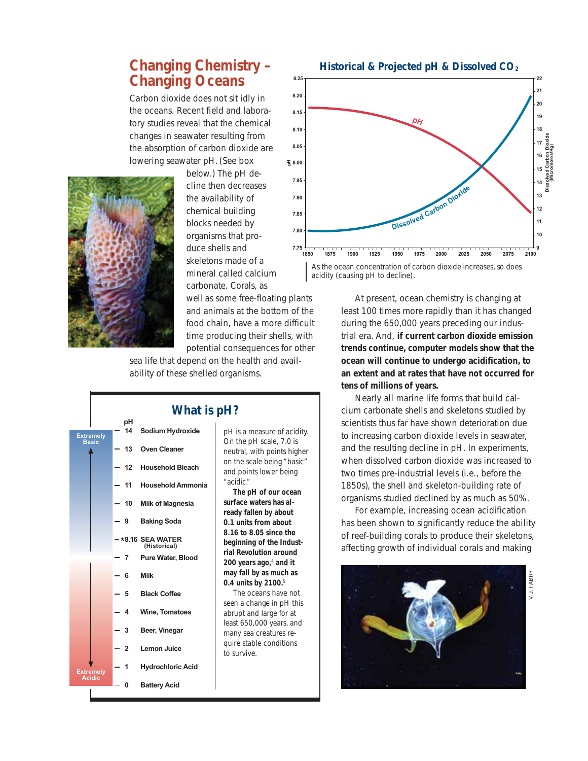# **Changing Chemistry – Changing Oceans**

Carbon dioxide does not sit idly in the oceans. Recent field and laboratory studies reveal that the chemical changes in seawater resulting from the absorption of carbon dioxide are lowering seawater pH. *(See box*



*below.)* The pH decline then decreases the availability of chemical building blocks needed by organisms that produce shells and skeletons made of a mineral called calcium carbonate. Corals, as well as some free-floating plants and animals at the bottom of the food chain, have a more difficult time producing their shells, with potential consequences for other **7.95 7.90 7.85 7.80**

sea life that depend on the health and availability of these shelled organisms.



#### **What is pH?**

*pH is a measure of acidity. On the pH scale, 7.0 is neutral, with points higher on the scale being "basic" and points lower being "acidic."*

*The pH of our ocean surface waters has already fallen by about 0.1 units from about 8.16 to 8.05 since the beginning of the Industrial Revolution around 200 years ago,<sup>4</sup> and it may fall by as much as 0.4 units by 2100.<sup>5</sup>*

*The oceans have not seen a change in pH this abrupt and large for at least 650,000 years, and many sea creatures require stable conditions to survive.*



*As the ocean concentration of carbon dioxide increases, so does acidity (causing pH to decline).*

At present, ocean chemistry is changing at least 100 times more rapidly than it has changed during the 650,000 years preceding our industrial era. And, *if current carbon dioxide emission trends continue, computer models show that the ocean will continue to undergo acidification, to an extent and at rates that have not occurred for tens of millions of years.*

Nearly all marine life forms that build calcium carbonate shells and skeletons studied by scientists thus far have shown deterioration due to increasing carbon dioxide levels in seawater, and the resulting decline in pH. In experiments, when dissolved carbon dioxide was increased to two times pre-industrial levels (i.e., before the 1850s), the shell and skeleton-building rate of organisms studied declined by as much as 50%.

For example, increasing ocean acidification has been shown to significantly reduce the ability of reef-building corals to produce their skeletons, affecting growth of individual corals and making

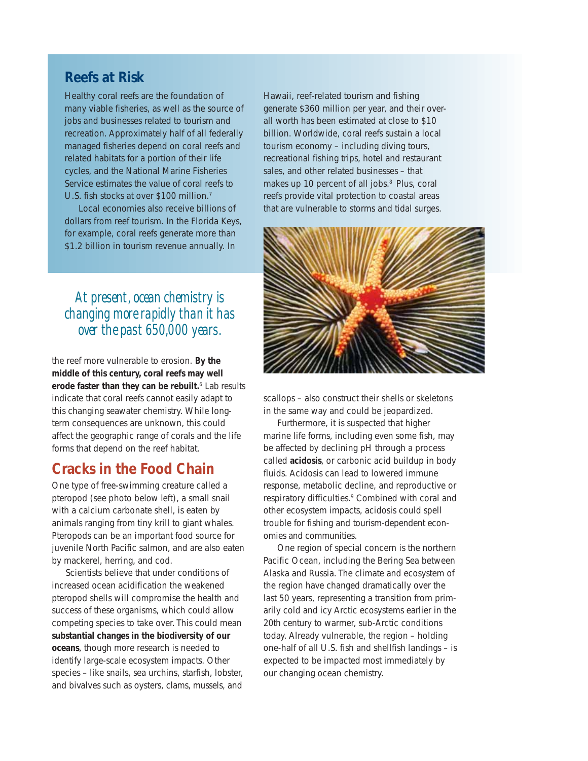#### **Reefs at Risk**

Healthy coral reefs are the foundation of many viable fisheries, as well as the source of jobs and businesses related to tourism and recreation. Approximately half of all federally managed fisheries depend on coral reefs and related habitats for a portion of their life cycles, and the National Marine Fisheries Service estimates the value of coral reefs to U.S. fish stocks at over \$100 million.7

Local economies also receive billions of dollars from reef tourism. In the Florida Keys, for example, coral reefs generate more than \$1.2 billion in tourism revenue annually. In

# *At present, ocean chemistry is changing more rapidly than it has over the past 650,000 years.*

the reef more vulnerable to erosion. *By the middle of this century, coral reefs may well erode faster than they can be rebuilt.*6 Lab results indicate that coral reefs cannot easily adapt to this changing seawater chemistry. While longterm consequences are unknown, this could affect the geographic range of corals and the life forms that depend on the reef habitat.

#### **Cracks in the Food Chain**

One type of free-swimming creature called a pteropod *(see photo below left)*, a small snail with a calcium carbonate shell, is eaten by animals ranging from tiny krill to giant whales. Pteropods can be an important food source for juvenile North Pacific salmon, and are also eaten by mackerel, herring, and cod.

Scientists believe that under conditions of increased ocean acidification the weakened pteropod shells will compromise the health and success of these organisms, which could allow competing species to take over. This could mean *substantial changes in the biodiversity of our oceans*, though more research is needed to identify large-scale ecosystem impacts. Other species – like snails, sea urchins, starfish, lobster, and bivalves such as oysters, clams, mussels, and

Hawaii, reef-related tourism and fishing generate \$360 million per year, and their overall worth has been estimated at close to \$10 billion. Worldwide, coral reefs sustain a local tourism economy – including diving tours, recreational fishing trips, hotel and restaurant sales, and other related businesses – that makes up 10 percent of all jobs.<sup>8</sup> Plus, coral reefs provide vital protection to coastal areas that are vulnerable to storms and tidal surges.



scallops – also construct their shells or skeletons in the same way and could be jeopardized.

Furthermore, it is suspected that higher marine life forms, including even some fish, may be affected by declining pH through a process called *acidosis*, or carbonic acid buildup in body fluids. Acidosis can lead to lowered immune response, metabolic decline, and reproductive or respiratory difficulties.<sup>9</sup> Combined with coral and other ecosystem impacts, acidosis could spell trouble for fishing and tourism-dependent economies and communities.

One region of special concern is the northern Pacific Ocean, including the Bering Sea between Alaska and Russia. The climate and ecosystem of the region have changed dramatically over the last 50 years, representing a transition from primarily cold and icy Arctic ecosystems earlier in the 20th century to warmer, sub-Arctic conditions today. Already vulnerable, the region – holding one-half of all U.S. fish and shellfish landings – is expected to be impacted most immediately by our changing ocean chemistry.